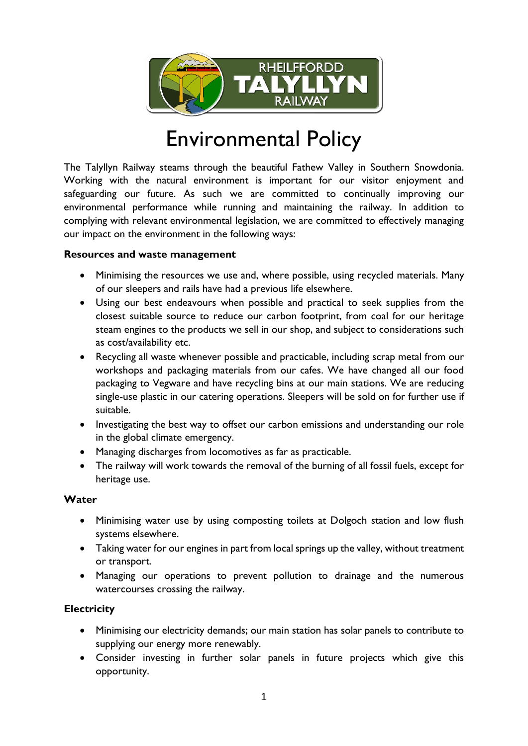

# Environmental Policy

The Talyllyn Railway steams through the beautiful Fathew Valley in Southern Snowdonia. Working with the natural environment is important for our visitor enjoyment and safeguarding our future. As such we are committed to continually improving our environmental performance while running and maintaining the railway. In addition to complying with relevant environmental legislation, we are committed to effectively managing our impact on the environment in the following ways:

#### **Resources and waste management**

- Minimising the resources we use and, where possible, using recycled materials. Many of our sleepers and rails have had a previous life elsewhere.
- Using our best endeavours when possible and practical to seek supplies from the closest suitable source to reduce our carbon footprint, from coal for our heritage steam engines to the products we sell in our shop, and subject to considerations such as cost/availability etc.
- Recycling all waste whenever possible and practicable, including scrap metal from our workshops and packaging materials from our cafes. We have changed all our food packaging to Vegware and have recycling bins at our main stations. We are reducing single-use plastic in our catering operations. Sleepers will be sold on for further use if suitable.
- Investigating the best way to offset our carbon emissions and understanding our role in the global climate emergency.
- Managing discharges from locomotives as far as practicable.
- The railway will work towards the removal of the burning of all fossil fuels, except for heritage use.

## **Water**

- Minimising water use by using composting toilets at Dolgoch station and low flush systems elsewhere.
- Taking water for our engines in part from local springs up the valley, without treatment or transport.
- Managing our operations to prevent pollution to drainage and the numerous watercourses crossing the railway.

## **Electricity**

- Minimising our electricity demands; our main station has solar panels to contribute to supplying our energy more renewably.
- Consider investing in further solar panels in future projects which give this opportunity.